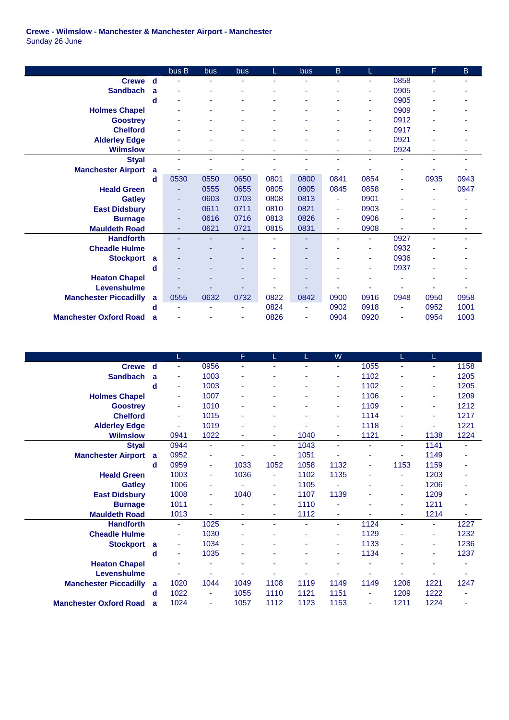## **Crewe - Wilmslow - Manchester & Manchester Airport - Manchester** Sunday 26 June

|                               |   | bus B | bus  | bus  |      | bus  | B    | L              |      | F.   | B.   |
|-------------------------------|---|-------|------|------|------|------|------|----------------|------|------|------|
| <b>Crewe</b>                  | d |       | ۰    |      | ٠    | ٠    | ÷    | ٠              | 0858 |      | ٠    |
| <b>Sandbach</b>               | a |       |      |      |      |      |      | ٠              | 0905 |      |      |
|                               | d |       |      |      |      |      |      | ٠              | 0905 |      |      |
| <b>Holmes Chapel</b>          |   |       |      |      |      |      |      | ٠              | 0909 |      |      |
| <b>Goostrey</b>               |   |       |      |      |      |      |      | ٠              | 0912 |      |      |
| <b>Chelford</b>               |   |       |      |      |      |      |      | ٠              | 0917 |      |      |
| <b>Alderley Edge</b>          |   |       |      |      | ÷    |      |      | $\blacksquare$ | 0921 |      |      |
| <b>Wilmslow</b>               |   | ٠     | ٠    | ۰    | ٠    | ٠    | ٠    | ٠              | 0924 | ٠    | ۰    |
| <b>Styal</b>                  |   | ٠     | ٠    | ٠    | ٠    | ٠    | ä,   | $\blacksquare$ | ä,   | ٠    | ٠    |
| <b>Manchester Airport</b>     | a | ۰     | ۰    |      | ٠    | ۰    |      |                |      |      |      |
|                               | d | 0530  | 0550 | 0650 | 0801 | 0800 | 0841 | 0854           | ۰    | 0935 | 0943 |
| <b>Heald Green</b>            |   |       | 0555 | 0655 | 0805 | 0805 | 0845 | 0858           |      |      | 0947 |
| <b>Gatley</b>                 |   | ٠     | 0603 | 0703 | 0808 | 0813 | ä,   | 0901           |      |      |      |
| <b>East Didsbury</b>          |   | ٠     | 0611 | 0711 | 0810 | 0821 | ä,   | 0903           |      |      |      |
| <b>Burnage</b>                |   | ٠     | 0616 | 0716 | 0813 | 0826 | ÷    | 0906           |      |      |      |
| <b>Mauldeth Road</b>          |   | ٠     | 0621 | 0721 | 0815 | 0831 | ÷    | 0908           |      | ۰    | ۰    |
| <b>Handforth</b>              |   | ٠     |      |      | ۰    | ۰    | ٠    | $\blacksquare$ | 0927 | ۰    | ۰    |
| <b>Cheadle Hulme</b>          |   |       |      |      |      | ۰    |      | ٠              | 0932 |      |      |
| <b>Stockport</b>              | a |       |      |      | ۰    | ۰    |      | ٠              | 0936 |      |      |
|                               | d |       |      | ٠    | ٠    | ۰    |      | ٠              | 0937 |      |      |
| <b>Heaton Chapel</b>          |   |       |      |      | ۰    | ۰    |      |                |      |      |      |
| Levenshulme                   |   |       |      |      | ۰    |      |      |                |      |      |      |
| <b>Manchester Piccadilly</b>  | a | 0555  | 0632 | 0732 | 0822 | 0842 | 0900 | 0916           | 0948 | 0950 | 0958 |
|                               | d |       |      |      | 0824 | ٠    | 0902 | 0918           | ۰    | 0952 | 1001 |
| <b>Manchester Oxford Road</b> | a |       |      |      | 0826 | ۰    | 0904 | 0920           | ۰    | 0954 | 1003 |

|                               |             | L    |                | F    |      |      | W              |      | L.   | L    |      |
|-------------------------------|-------------|------|----------------|------|------|------|----------------|------|------|------|------|
| <b>Crewe</b>                  | $\mathbf d$ | ÷    | 0956           |      |      |      | ÷              | 1055 |      | ä,   | 1158 |
| <b>Sandbach</b>               | a           | ٠    | 1003           |      |      |      | ٠              | 1102 |      | ۳    | 1205 |
|                               | d           | ÷    | 1003           |      |      |      | $\blacksquare$ | 1102 | ٠    | ٠    | 1205 |
| <b>Holmes Chapel</b>          |             | ÷    | 1007           |      |      |      | $\blacksquare$ | 1106 |      | ٠    | 1209 |
| <b>Goostrey</b>               |             | ٠    | 1010           |      | ۰    |      | $\blacksquare$ | 1109 | ٠    | ٠    | 1212 |
| <b>Chelford</b>               |             | ÷    | 1015           |      | ۰    |      | $\blacksquare$ | 1114 | ۰    | ٠    | 1217 |
| <b>Alderley Edge</b>          |             | ۰    | 1019           |      | ۰    |      | $\blacksquare$ | 1118 | ۰    | ٠    | 1221 |
| <b>Wilmslow</b>               |             | 0941 | 1022           |      | ٠    | 1040 | ÷              | 1121 | ٠    | 1138 | 1224 |
| <b>Styal</b>                  |             | 0944 | ÷              |      | ٠    | 1043 | ä,             | ٠    | ٠    | 1141 | ٠    |
| <b>Manchester Airport</b>     | a           | 0952 | ٠              |      | ٠    | 1051 |                | ۰    | ٠    | 1149 |      |
|                               | d           | 0959 | ٠              | 1033 | 1052 | 1058 | 1132           | ä,   | 1153 | 1159 |      |
| <b>Heald Green</b>            |             | 1003 | ٠              | 1036 | ٠    | 1102 | 1135           | ۰    | ٠    | 1203 |      |
| <b>Gatley</b>                 |             | 1006 | ٠              |      | ٠    | 1105 |                | ۰    | ٠    | 1206 |      |
| <b>East Didsbury</b>          |             | 1008 | ٠              | 1040 | ٠    | 1107 | 1139           | ۰    | ٠    | 1209 |      |
| <b>Burnage</b>                |             | 1011 | ٠              |      | ٠    | 1110 |                |      | ٠    | 1211 |      |
| <b>Mauldeth Road</b>          |             | 1013 |                |      | ٠    | 1112 | ٠              |      | ٠    | 1214 |      |
| <b>Handforth</b>              |             | ÷.   | 1025           | ÷    | ٠    | ä,   | ÷              | 1124 | ٠    | ٠    | 1227 |
| <b>Cheadle Hulme</b>          |             | ٠    | 1030           |      |      |      | $\blacksquare$ | 1129 | ۰    | ٠    | 1232 |
| <b>Stockport</b>              | a           | ٠    | 1034           | ٠    | ٠    |      | $\blacksquare$ | 1133 | ۰    | ٠    | 1236 |
|                               | d           | ٠    | 1035           |      | ۰    |      | ٠              | 1134 |      | ٠    | 1237 |
| <b>Heaton Chapel</b>          |             | ٠    |                |      |      |      |                |      |      |      |      |
| Levenshulme                   |             |      |                |      |      |      |                |      |      |      |      |
| <b>Manchester Piccadilly</b>  | a           | 1020 | 1044           | 1049 | 1108 | 1119 | 1149           | 1149 | 1206 | 1221 | 1247 |
|                               | d           | 1022 | $\blacksquare$ | 1055 | 1110 | 1121 | 1151           | ä,   | 1209 | 1222 |      |
| <b>Manchester Oxford Road</b> | a           | 1024 | $\blacksquare$ | 1057 | 1112 | 1123 | 1153           | ä,   | 1211 | 1224 | ۰    |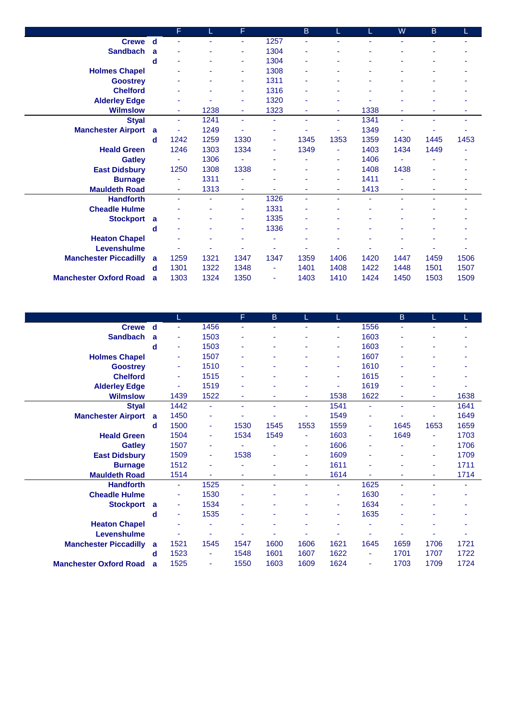|                               |   | F    | L    | F    |                | $\sf{B}$ | L              | L    | W    | B    |      |
|-------------------------------|---|------|------|------|----------------|----------|----------------|------|------|------|------|
| Crewe d                       |   |      |      |      | 1257           | ÷        | ٠              |      |      |      |      |
| <b>Sandbach</b>               | a |      | ۰    | ٠    | 1304           | ÷        | ٠              |      |      |      |      |
|                               | d |      |      | ٠    | 1304           | ۰        | ٠              |      |      |      |      |
| <b>Holmes Chapel</b>          |   |      |      | ٠    | 1308           | ۰        | ٠              |      |      |      |      |
| <b>Goostrey</b>               |   |      | ۰    | ٠    | 1311           | ä,       | ۰              |      |      |      |      |
| <b>Chelford</b>               |   |      |      | ٠    | 1316           |          |                |      |      |      |      |
| <b>Alderley Edge</b>          |   |      |      |      | 1320           |          | ۰              |      |      |      |      |
| <b>Wilmslow</b>               |   | ٠    | 1238 | ÷    | 1323           | ä,       | $\blacksquare$ | 1338 |      | ٠    |      |
| <b>Styal</b>                  |   | ٠    | 1241 | ÷.   | ä,             | ٠        | ٠              | 1341 | ÷    | ٠    | ٠    |
| <b>Manchester Airport</b>     | a | ٠    | 1249 |      | ٠              |          | $\blacksquare$ | 1349 |      | ۰    |      |
|                               | d | 1242 | 1259 | 1330 | ٠              | 1345     | 1353           | 1359 | 1430 | 1445 | 1453 |
| <b>Heald Green</b>            |   | 1246 | 1303 | 1334 | $\blacksquare$ | 1349     | Ξ              | 1403 | 1434 | 1449 |      |
| <b>Gatley</b>                 |   | ٠    | 1306 |      |                |          | ٠              | 1406 |      |      |      |
| <b>East Didsbury</b>          |   | 1250 | 1308 | 1338 |                |          | $\blacksquare$ | 1408 | 1438 |      |      |
| <b>Burnage</b>                |   | ÷    | 1311 |      |                | ۰        | ä,             | 1411 |      |      |      |
| <b>Mauldeth Road</b>          |   | Ξ    | 1313 | ٠    | ÷,             | ٠        | ٠              | 1413 | ٠    | ٠    | ۰    |
| <b>Handforth</b>              |   | ä,   | ۰    | ÷.   | 1326           | ÷        | ÷              | ٠    |      | ٠    | ٠    |
| <b>Cheadle Hulme</b>          |   |      | ٠    | ٠    | 1331           | ٠        | ٠              | ٠    |      |      |      |
| <b>Stockport</b>              | a |      |      |      | 1335           |          |                |      |      |      |      |
|                               | d |      |      | ٠    | 1336           | ٠        |                |      |      |      |      |
| <b>Heaton Chapel</b>          |   |      | ۰    |      | ä,             | ۰        | ٠              |      |      |      |      |
| Levenshulme                   |   |      |      |      | ٠              |          |                |      |      |      |      |
| <b>Manchester Piccadilly</b>  | a | 1259 | 1321 | 1347 | 1347           | 1359     | 1406           | 1420 | 1447 | 1459 | 1506 |
|                               | d | 1301 | 1322 | 1348 | ٠              | 1401     | 1408           | 1422 | 1448 | 1501 | 1507 |
| <b>Manchester Oxford Road</b> | a | 1303 | 1324 | 1350 | $\blacksquare$ | 1403     | 1410           | 1424 | 1450 | 1503 | 1509 |

|                               |   |      |      | F              | B    |      |                |      | B    | L    |      |
|-------------------------------|---|------|------|----------------|------|------|----------------|------|------|------|------|
| <b>Crewe</b>                  | d | ٠    | 1456 | ÷              | ٠    | ۰    | ٠              | 1556 | ۰    |      | ٠    |
| <b>Sandbach</b>               | a | ٠    | 1503 |                |      |      | ٠              | 1603 | ä,   |      |      |
|                               | d | ٠    | 1503 |                |      |      |                | 1603 | ٠    |      |      |
| <b>Holmes Chapel</b>          |   | ٠    | 1507 |                |      |      | ٠              | 1607 |      |      |      |
| <b>Goostrey</b>               |   | ٠    | 1510 |                |      |      | ۰              | 1610 |      |      |      |
| <b>Chelford</b>               |   | ٠    | 1515 |                |      |      | ٠              | 1615 |      |      |      |
| <b>Alderley Edge</b>          |   | ٠    | 1519 |                |      |      |                | 1619 |      |      |      |
| <b>Wilmslow</b>               |   | 1439 | 1522 | ٠              | ۰    | ٠    | 1538           | 1622 | ۰    | ٠    | 1638 |
| <b>Styal</b>                  |   | 1442 | ٠    |                | ÷.   | ٠    | 1541           | ٠    |      | ٠    | 1641 |
| <b>Manchester Airport</b>     | a | 1450 | ٠    |                |      |      | 1549           | ۰    |      |      | 1649 |
|                               | d | 1500 | ٠    | 1530           | 1545 | 1553 | 1559           | ٠    | 1645 | 1653 | 1659 |
| <b>Heald Green</b>            |   | 1504 | ٠    | 1534           | 1549 |      | 1603           | ٠    | 1649 | ٠    | 1703 |
| <b>Gatley</b>                 |   | 1507 | ÷    |                |      | ٠    | 1606           | ٠    |      | ٠    | 1706 |
| <b>East Didsbury</b>          |   | 1509 | ٠    | 1538           | ä,   | ٠    | 1609           | ٠    |      | ٠    | 1709 |
| <b>Burnage</b>                |   | 1512 | ÷    |                | ٠    | ٠    | 1611           | ٠    | ۰    | ٠    | 1711 |
| <b>Mauldeth Road</b>          |   | 1514 | ۰    |                |      | ۰    | 1614           | ۰    |      | ٠    | 1714 |
| <b>Handforth</b>              |   | ٠    | 1525 | $\blacksquare$ |      | ٠    | $\blacksquare$ | 1625 | ä,   |      | ۰    |
| <b>Cheadle Hulme</b>          |   | ٠    | 1530 |                |      |      | $\blacksquare$ | 1630 |      |      |      |
| <b>Stockport</b>              | a | ٠    | 1534 |                |      |      | ٠              | 1634 |      |      |      |
|                               | d | ٠    | 1535 |                |      |      | ٠              | 1635 | ä,   | ۰    |      |
| <b>Heaton Chapel</b>          |   | ۰    | ٠    |                |      |      |                | ۰    |      |      |      |
| Levenshulme                   |   |      | ۰    |                |      |      |                | ٠    |      |      |      |
| <b>Manchester Piccadilly</b>  | a | 1521 | 1545 | 1547           | 1600 | 1606 | 1621           | 1645 | 1659 | 1706 | 1721 |
|                               | d | 1523 | ٠    | 1548           | 1601 | 1607 | 1622           | ٠    | 1701 | 1707 | 1722 |
| <b>Manchester Oxford Road</b> | a | 1525 | ۰    | 1550           | 1603 | 1609 | 1624           | ٠    | 1703 | 1709 | 1724 |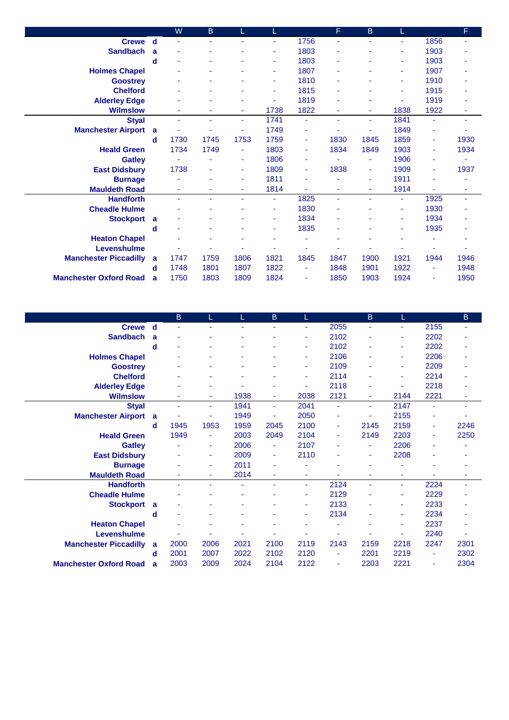|                               |   | W              | B.   |      |                |      | F              | B.                       | L    |                | F    |
|-------------------------------|---|----------------|------|------|----------------|------|----------------|--------------------------|------|----------------|------|
| Crewe d                       |   | ٠              |      | ٠    | ÷              | 1756 |                | ٠                        | ٠    | 1856           | ٠    |
| <b>Sandbach</b>               | a |                |      |      | ۰              | 1803 |                |                          |      | 1903           |      |
|                               | d |                |      |      | ÷              | 1803 |                | ٠                        | ٠    | 1903           |      |
| <b>Holmes Chapel</b>          |   |                |      | ۰    | ٠              | 1807 |                | ٠                        | ٠    | 1907           | ٠    |
| <b>Goostrey</b>               |   |                |      |      | $\blacksquare$ | 1810 |                | ۰                        | ٠    | 1910           | ۰    |
| <b>Chelford</b>               |   |                | ٠    | ۰    | ٠              | 1815 |                | $\overline{\phantom{a}}$ | ۰    | 1915           | ٠    |
| <b>Alderley Edge</b>          |   |                |      |      |                | 1819 |                | ٠                        |      | 1919           |      |
| <b>Wilmslow</b>               |   |                |      | ٠    | 1738           | 1822 |                | ٠                        | 1838 | 1922           | ۰    |
| <b>Styal</b>                  |   | $\blacksquare$ | ÷    | ٠    | 1741           | ٠    | $\blacksquare$ | ٠                        | 1841 | ä,             | ٠    |
| <b>Manchester Airport</b>     | a |                |      | ٠    | 1749           | ٠    |                | ٠                        | 1849 | $\blacksquare$ |      |
|                               | d | 1730           | 1745 | 1753 | 1759           | ٠    | 1830           | 1845                     | 1859 | $\blacksquare$ | 1930 |
| <b>Heald Green</b>            |   | 1734           | 1749 | ۰    | 1803           | ٠    | 1834           | 1849                     | 1903 | ٠              | 1934 |
| <b>Gatley</b>                 |   |                |      | ٠    | 1806           | ٠    |                | ٠                        | 1906 | ٠              |      |
| <b>East Didsbury</b>          |   | 1738           |      | ۰    | 1809           | ٠    | 1838           | ٠                        | 1909 | ٠              | 1937 |
| <b>Burnage</b>                |   |                | ٠    | ٠    | 1811           | ٠    |                | ٠                        | 1911 | ٠              |      |
| <b>Mauldeth Road</b>          |   | $\blacksquare$ | ٠    | ٠    | 1814           | ٠    | ٠              | ٠                        | 1914 | ÷.             | ٠    |
| <b>Handforth</b>              |   | $\blacksquare$ | ٠    | ÷    | ÷              | 1825 | $\blacksquare$ | ÷                        | ٠    | 1925           | ÷    |
| <b>Cheadle Hulme</b>          |   |                |      | ٠    | ٠              | 1830 |                | ٠                        | ٠    | 1930           | ٠    |
| <b>Stockport</b>              | a |                |      |      | ä,             | 1834 |                |                          |      | 1934           |      |
|                               | d |                |      |      | ۰              | 1835 |                |                          | ٠    | 1935           |      |
| <b>Heaton Chapel</b>          |   |                |      | ٠    | ٠              | ٠    |                | ٠                        |      | ٠              | ٠    |
| Levenshulme                   |   |                |      |      |                |      |                |                          |      |                |      |
| <b>Manchester Piccadilly</b>  | a | 1747           | 1759 | 1806 | 1821           | 1845 | 1847           | 1900                     | 1921 | 1944           | 1946 |
|                               | d | 1748           | 1801 | 1807 | 1822           | ٠    | 1848           | 1901                     | 1922 | ٠              | 1948 |
| <b>Manchester Oxford Road</b> | a | 1750           | 1803 | 1809 | 1824           | ٠    | 1850           | 1903                     | 1924 | $\blacksquare$ | 1950 |

|                               |   | B              | L    |      | B.             |                          |      | B    | T                        |      | $\mathsf B$ |
|-------------------------------|---|----------------|------|------|----------------|--------------------------|------|------|--------------------------|------|-------------|
| <b>Crewe</b>                  | d | $\blacksquare$ | ä    | ٠    | ٠              | ٠                        | 2055 | ٠    | $\blacksquare$           | 2155 | ٠           |
| <b>Sandbach</b>               | a |                | ۳    |      |                |                          | 2102 | ۰    | ٠                        | 2202 |             |
|                               | d |                | ÷    |      |                |                          | 2102 | ٠    | ٠                        | 2202 |             |
| <b>Holmes Chapel</b>          |   | ۰              |      |      |                |                          | 2106 | ۰    | $\overline{\phantom{a}}$ | 2206 |             |
| <b>Goostrey</b>               |   |                | ۰    |      |                |                          | 2109 | ٠    | ٠                        | 2209 |             |
| <b>Chelford</b>               |   | ۰              | ۰    |      |                | ٠                        | 2114 | ٠    | ٠                        | 2214 |             |
| <b>Alderley Edge</b>          |   |                | ۰    |      |                | ٠                        | 2118 | ٠    |                          | 2218 |             |
| <b>Wilmslow</b>               |   | ٠              | ٠    | 1938 | ٠              | 2038                     | 2121 | ٠    | 2144                     | 2221 | ۰           |
| <b>Styal</b>                  |   | ٠              | ٠    | 1941 | ÷.             | 2041                     | ٠    | ٠    | 2147                     | ÷.   |             |
| <b>Manchester Airport</b>     | a |                | ۰    | 1949 |                | 2050                     | ٠    | ۰    | 2155                     |      |             |
|                               | d | 1945           | 1953 | 1959 | 2045           | 2100                     | ٠    | 2145 | 2159                     | ٠    | 2246        |
| <b>Heald Green</b>            |   | 1949           | ä,   | 2003 | 2049           | 2104                     | ٠    | 2149 | 2203                     | ٠    | 2250        |
| <b>Gatley</b>                 |   | ٠              | ٠    | 2006 | $\blacksquare$ | 2107                     | ٠    | ٠    | 2206                     |      |             |
| <b>East Didsbury</b>          |   | ۰              | ۰    | 2009 | ÷              | 2110                     | ٠    | ٠    | 2208                     |      |             |
| <b>Burnage</b>                |   | ٠              | ٠    | 2011 | ٠              |                          |      | ۰    |                          |      |             |
| <b>Mauldeth Road</b>          |   | ٠              | ۰    | 2014 | ٠              | ۰                        |      | ٠    | ٠                        |      |             |
| <b>Handforth</b>              |   | ٠              | ä    |      |                | ٠                        | 2124 | ۰    | ٠                        | 2224 |             |
| <b>Cheadle Hulme</b>          |   |                |      |      |                |                          | 2129 | ٠    | $\overline{\phantom{a}}$ | 2229 |             |
| <b>Stockport</b>              | a | ۰              | ۰    |      |                | $\overline{\phantom{a}}$ | 2133 | ۰    | ٠                        | 2233 |             |
|                               | d | ٠              | ۰    |      |                | ٠                        | 2134 | ٠    | ٠                        | 2234 |             |
| <b>Heaton Chapel</b>          |   |                | ۰    |      |                |                          |      | ۰    | ٠                        | 2237 |             |
| Levenshulme                   |   |                |      |      |                |                          |      |      | ٠                        | 2240 | ٠           |
| <b>Manchester Piccadilly</b>  | a | 2000           | 2006 | 2021 | 2100           | 2119                     | 2143 | 2159 | 2218                     | 2247 | 2301        |
|                               | d | 2001           | 2007 | 2022 | 2102           | 2120                     | ۰    | 2201 | 2219                     |      | 2302        |
| <b>Manchester Oxford Road</b> | a | 2003           | 2009 | 2024 | 2104           | 2122                     | ۰    | 2203 | 2221                     |      | 2304        |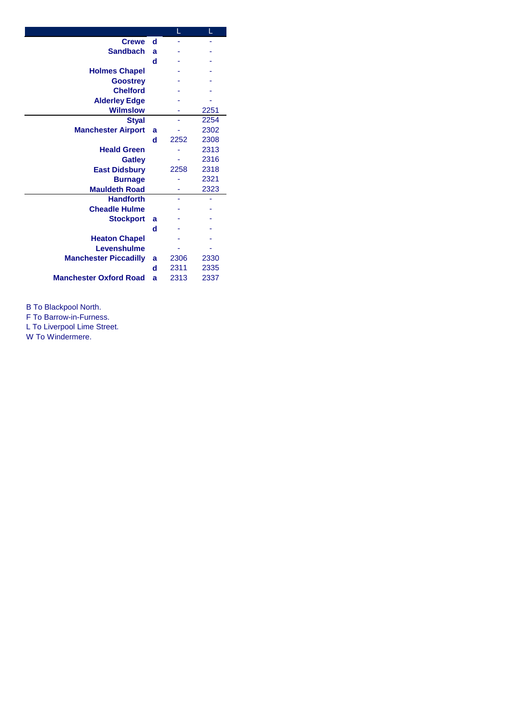|                               |   |      | Г    |
|-------------------------------|---|------|------|
| <b>Crewe</b>                  | d |      |      |
| <b>Sandbach</b>               | a |      |      |
|                               | d |      |      |
| <b>Holmes Chapel</b>          |   |      |      |
| <b>Goostrey</b>               |   |      |      |
| <b>Chelford</b>               |   |      |      |
| <b>Alderley Edge</b>          |   |      |      |
| <b>Wilmslow</b>               |   |      | 2251 |
| <b>Styal</b>                  |   |      | 2254 |
| <b>Manchester Airport</b>     | a |      | 2302 |
|                               | d | 2252 | 2308 |
| <b>Heald Green</b>            |   |      | 2313 |
| <b>Gatley</b>                 |   |      | 2316 |
| <b>East Didsbury</b>          |   | 2258 | 2318 |
| <b>Burnage</b>                |   |      | 2321 |
| <b>Mauldeth Road</b>          |   |      | 2323 |
| <b>Handforth</b>              |   |      |      |
| <b>Cheadle Hulme</b>          |   |      |      |
| <b>Stockport</b>              | a |      |      |
|                               | d |      |      |
| <b>Heaton Chapel</b>          |   |      |      |
| Levenshulme                   |   |      |      |
| <b>Manchester Piccadilly</b>  | a | 2306 | 2330 |
|                               | d | 2311 | 2335 |
| <b>Manchester Oxford Road</b> | a | 2313 | 2337 |

B To Blackpool North.

F To Barrow-in-Furness.

L To Liverpool Lime Street.

W To Windermere.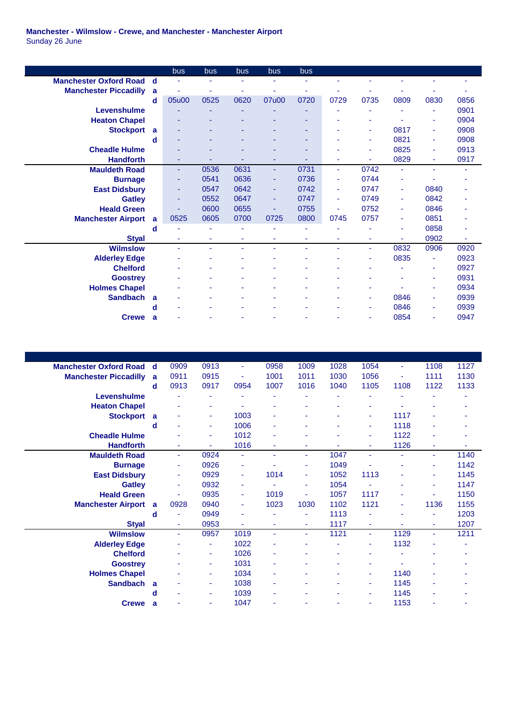## **Manchester - Wilmslow - Crewe, and Manchester - Manchester Airport** Sunday 26 June

|                               |   | bus   | bus  | bus  | bus   | bus  |      |                |      |      |      |
|-------------------------------|---|-------|------|------|-------|------|------|----------------|------|------|------|
| <b>Manchester Oxford Road</b> | d | ä,    | ä,   | ٠    | ٠     | ٠    |      |                |      |      |      |
| <b>Manchester Piccadilly</b>  | a | ٠     | ÷    |      |       | ٠    |      |                |      |      |      |
|                               | d | 05u00 | 0525 | 0620 | 07u00 | 0720 | 0729 | 0735           | 0809 | 0830 | 0856 |
| Levenshulme                   |   |       |      |      |       |      |      |                |      | ٠    | 0901 |
| <b>Heaton Chapel</b>          |   |       |      |      |       |      |      |                |      | ۰    | 0904 |
| <b>Stockport</b>              | a |       |      |      |       | ۰    |      | ٠              | 0817 | ٠    | 0908 |
|                               | d |       |      |      |       | ۰    |      | ٠              | 0821 | ٠    | 0908 |
| <b>Cheadle Hulme</b>          |   |       |      |      |       | ٠    |      | ٠              | 0825 | ٠    | 0913 |
| <b>Handforth</b>              |   | ٠     | ٠    |      | ٠     | ٠    | ä,   | $\sim$         | 0829 | ÷    | 0917 |
| <b>Mauldeth Road</b>          |   | ٠     | 0536 | 0631 | ÷.    | 0731 | ÷    | 0742           | ٠    | ٠    | ۰    |
| <b>Burnage</b>                |   | ٠     | 0541 | 0636 | ٠     | 0736 | ä,   | 0744           |      |      |      |
| <b>East Didsbury</b>          |   | ٠     | 0547 | 0642 | ٠     | 0742 | ۰    | 0747           | ۰    | 0840 |      |
| <b>Gatley</b>                 |   | ٠     | 0552 | 0647 | ٠     | 0747 | ÷    | 0749           | ٠    | 0842 |      |
| <b>Heald Green</b>            |   | ۳     | 0600 | 0655 | ٠     | 0755 |      | 0752           | ٠    | 0846 |      |
| <b>Manchester Airport</b>     | a | 0525  | 0605 | 0700 | 0725  | 0800 | 0745 | 0757           | ۰    | 0851 |      |
|                               | d | ٠     |      |      |       | ٠    |      |                |      | 0858 | ä,   |
| <b>Styal</b>                  |   | ٠     | ٠    | ٠    | ٠     | ٠    | ۳    | ٠              |      | 0902 | ä,   |
| <b>Wilmslow</b>               |   | ٠     |      |      |       | ٠    | ٠    | $\blacksquare$ | 0832 | 0906 | 0920 |
| <b>Alderley Edge</b>          |   |       |      |      |       |      |      |                | 0835 | ٠    | 0923 |
| <b>Chelford</b>               |   | ٠     |      |      |       |      |      |                |      | ٠    | 0927 |
| <b>Goostrey</b>               |   |       |      |      |       |      |      |                |      | ٠    | 0931 |
| <b>Holmes Chapel</b>          |   | ٠     |      |      |       | ۰    | ٠    | ٠              |      | ٠    | 0934 |
| <b>Sandbach</b>               | a |       |      |      |       |      |      | ٠              | 0846 | ٠    | 0939 |
|                               | d | ä,    |      |      |       |      |      | ٠              | 0846 | ٠    | 0939 |
| <b>Crewe</b>                  | a |       |      |      |       |      |      |                | 0854 | ٠    | 0947 |

| <b>Manchester Oxford Road</b> | $\mathbf d$ | 0909 | 0913 | $\blacksquare$ | 0958 | 1009 | 1028 | 1054 | ٠    | 1108   | 1127 |
|-------------------------------|-------------|------|------|----------------|------|------|------|------|------|--------|------|
| <b>Manchester Piccadilly</b>  | a           | 0911 | 0915 | $\blacksquare$ | 1001 | 1011 | 1030 | 1056 | ä,   | 1111   | 1130 |
|                               | d           | 0913 | 0917 | 0954           | 1007 | 1016 | 1040 | 1105 | 1108 | 1122   | 1133 |
| Levenshulme                   |             | ٠    | ٠    |                |      |      |      | ۰    |      |        | ٠    |
| <b>Heaton Chapel</b>          |             |      | ۰    |                | ٠    |      |      | ۰    |      |        |      |
| <b>Stockport</b>              | a           | ۰    | ٠    | 1003           |      |      |      | ٠    | 1117 |        |      |
|                               | d           | ٠    | ٠    | 1006           |      |      |      | ٠    | 1118 |        |      |
| <b>Cheadle Hulme</b>          |             |      | ÷    | 1012           |      |      |      | ٠    | 1122 |        |      |
| <b>Handforth</b>              |             | ٠    | ÷    | 1016           |      |      |      | ٠    | 1126 |        |      |
| <b>Mauldeth Road</b>          |             | ÷    | 0924 | $\bar{a}$      | ÷    | ٠    | 1047 | ٠    | ٠    | ÷      | 1140 |
| <b>Burnage</b>                |             | ٠    | 0926 | ٠              |      | ٠    | 1049 | ä,   | ۰    | ٠      | 1142 |
| <b>East Didsbury</b>          |             | ٠    | 0929 | $\blacksquare$ | 1014 | ٠    | 1052 | 1113 | ۰    | ٠      | 1145 |
| <b>Gatley</b>                 |             | ٠    | 0932 | ٠              |      | ٠    | 1054 | ۰    | ۰    | ٠      | 1147 |
| <b>Heald Green</b>            |             | ٠    | 0935 | $\blacksquare$ | 1019 | ٠    | 1057 | 1117 | ۰    | $\sim$ | 1150 |
| <b>Manchester Airport</b>     | a           | 0928 | 0940 | $\blacksquare$ | 1023 | 1030 | 1102 | 1121 | ٠    | 1136   | 1155 |
|                               | d           |      | 0949 |                |      |      | 1113 | ä,   |      | ٠      | 1203 |
| <b>Styal</b>                  |             | ٠    | 0953 | ٠              | ۰    | ۰    | 1117 | ٠    |      | ۰      | 1207 |
| <b>Wilmslow</b>               |             | ٠    | 0957 | 1019           | ٠    | ٠    | 1121 | ٠    | 1129 | ٠      | 1211 |
| <b>Alderley Edge</b>          |             |      | ÷    | 1022           |      |      |      | ٠    | 1132 |        |      |
| <b>Chelford</b>               |             | ۰    | ٠    | 1026           | ۰    |      |      | ۰    |      |        |      |
| <b>Goostrey</b>               |             | ٠    | ٠    | 1031           | ۰    |      |      | ٠    |      |        |      |
| <b>Holmes Chapel</b>          |             |      | ٠    | 1034           | ٠    |      |      | ٠    | 1140 |        |      |
| <b>Sandbach</b>               | a           | ۰    | ٠    | 1038           | ٠    |      |      | ٠    | 1145 |        |      |
|                               | d           | ۰    | ٠    | 1039           | ۰    |      |      | ٠    | 1145 |        |      |
| <b>Crewe</b>                  | a           | ä,   | ٠    | 1047           |      |      |      | ٠    | 1153 |        |      |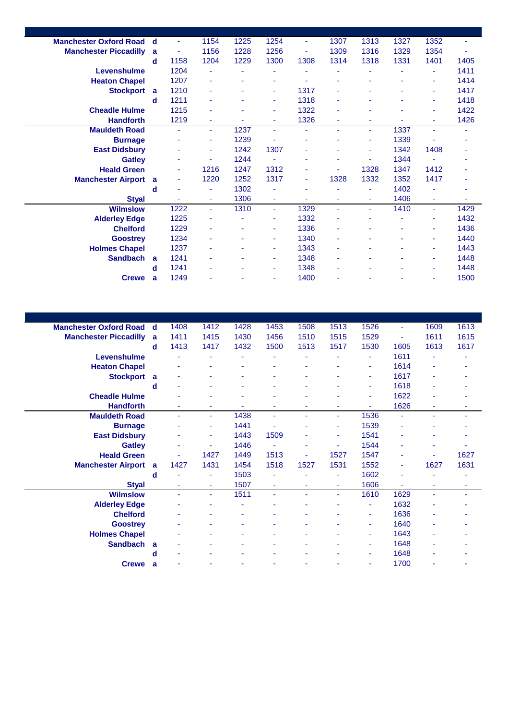| <b>Manchester Oxford Road</b> | d | ٠    | 1154 | 1225 | 1254           | ٠    | 1307 | 1313           | 1327 | 1352   | ٠    |
|-------------------------------|---|------|------|------|----------------|------|------|----------------|------|--------|------|
| <b>Manchester Piccadilly</b>  | a | ÷    | 1156 | 1228 | 1256           | ٠    | 1309 | 1316           | 1329 | 1354   |      |
|                               | d | 1158 | 1204 | 1229 | 1300           | 1308 | 1314 | 1318           | 1331 | 1401   | 1405 |
| Levenshulme                   |   | 1204 | ÷    | ÷    |                |      |      |                |      | ٠      | 1411 |
| <b>Heaton Chapel</b>          |   | 1207 | ٠    | ÷    | ٠              | ä,   | ä,   | ä,             | ٠    | $\sim$ | 1414 |
| <b>Stockport</b>              | a | 1210 | ٠    | ۰    | $\sim$         | 1317 | ٠    | ٠              |      | ٠      | 1417 |
|                               | d | 1211 | ٠    |      | ٠              | 1318 |      |                |      | ٠      | 1418 |
| <b>Cheadle Hulme</b>          |   | 1215 | ۰    | ٠    | ٠              | 1322 |      |                |      | ٠      | 1422 |
| <b>Handforth</b>              |   | 1219 | ٠    | ۰    | ٠              | 1326 | ۰    |                |      |        | 1426 |
| <b>Mauldeth Road</b>          |   | ÷.   | ٠    | 1237 | $\sim$         | ٠    | ÷    | ٠              | 1337 | $\sim$ | ٠    |
| <b>Burnage</b>                |   |      | ٠    | 1239 | ٠              | ٠    |      | ÷              | 1339 |        |      |
| <b>East Didsbury</b>          |   | ٠    | ٠    | 1242 | 1307           | ٠    | ٠    | ٠              | 1342 | 1408   |      |
| <b>Gatley</b>                 |   | ۰    | ۰    | 1244 | $\blacksquare$ | ٠    |      | ä,             | 1344 | $\sim$ |      |
| <b>Heald Green</b>            |   | ٠    | 1216 | 1247 | 1312           | ٠    | ä,   | 1328           | 1347 | 1412   |      |
| <b>Manchester Airport</b>     | a | ٠    | 1220 | 1252 | 1317           | ٠    | 1328 | 1332           | 1352 | 1417   |      |
|                               | d | ۰    | ٠    | 1302 | ٠              | ٠    | ۰    | ä,             | 1402 |        | ٠    |
| <b>Styal</b>                  |   |      | ٠    | 1306 | ٠              | ٠    | ٠    | $\blacksquare$ | 1406 | $\sim$ | ٠    |
| <b>Wilmslow</b>               |   | 1222 | ٠    | 1310 | $\sim$         | 1329 | ÷    | ÷              | 1410 | $\sim$ | 1429 |
| <b>Alderley Edge</b>          |   | 1225 | ٠    | ۰    | ٠              | 1332 |      | ٠              |      | ٠      | 1432 |
| <b>Chelford</b>               |   | 1229 | ٠    | ۰    | ٠              | 1336 | ٠    | ٠              |      | ٠      | 1436 |
| <b>Goostrey</b>               |   | 1234 | ٠    |      | ٠              | 1340 | ٠    |                |      | ٠      | 1440 |
| <b>Holmes Chapel</b>          |   | 1237 | ٠    | ٠    | ٠              | 1343 | ä,   | ٠              |      | $\sim$ | 1443 |
| <b>Sandbach</b>               | a | 1241 | ٠    | ٠    | ٠              | 1348 | ٠    |                |      | ٠      | 1448 |
|                               | d | 1241 | ٠    |      | ٠              | 1348 | ä,   |                |      | $\sim$ | 1448 |
| <b>Crewe</b>                  | a | 1249 |      |      | ٠              | 1400 |      |                |      | $\sim$ | 1500 |
|                               |   |      |      |      |                |      |      |                |      |        |      |

| <b>Manchester Oxford Road</b> | $\mathbf d$ | 1408 | 1412           | 1428 | 1453 | 1508 | 1513           | 1526 | $\blacksquare$ | 1609 | 1613 |
|-------------------------------|-------------|------|----------------|------|------|------|----------------|------|----------------|------|------|
| <b>Manchester Piccadilly</b>  | a           | 1411 | 1415           | 1430 | 1456 | 1510 | 1515           | 1529 | ٠              | 1611 | 1615 |
|                               | d           | 1413 | 1417           | 1432 | 1500 | 1513 | 1517           | 1530 | 1605           | 1613 | 1617 |
| Levenshulme                   |             |      |                |      |      |      |                | ٠    | 1611           |      |      |
| <b>Heaton Chapel</b>          |             | ۰    | ٠              |      |      |      |                | ٠    | 1614           | ٠    |      |
| <b>Stockport</b>              | a           | ۰    | ٠              |      |      |      |                | ٠    | 1617           | ٠    |      |
|                               | d           | ٠    | ٠              |      |      |      |                | ٠    | 1618           | ۰    |      |
| <b>Cheadle Hulme</b>          |             |      | ٠              |      |      |      |                | ٠    | 1622           |      |      |
| <b>Handforth</b>              |             | ٠    | ٠              | ٠    | ۰    | ٠    | ٠              | ٠    | 1626           | ٠    | ٠    |
| <b>Mauldeth Road</b>          |             | ÷    | $\blacksquare$ | 1438 | ÷    | ٠    | ÷              | 1536 | $\blacksquare$ | ÷.   | ٠    |
| <b>Burnage</b>                |             |      | ۰              | 1441 | ٠    |      | ÷              | 1539 |                |      |      |
| <b>East Didsbury</b>          |             | ۰    | ٠              | 1443 | 1509 |      | ۰              | 1541 |                |      |      |
| <b>Gatley</b>                 |             | ۰    | ÷              | 1446 | ٠    |      | ٠              | 1544 |                |      |      |
| <b>Heald Green</b>            |             | ۰    | 1427           | 1449 | 1513 |      | 1527           | 1547 | ٠              | ٠    | 1627 |
| <b>Manchester Airport</b>     | a           | 1427 | 1431           | 1454 | 1518 | 1527 | 1531           | 1552 | ÷              | 1627 | 1631 |
|                               | d           | ٠    | ٠              | 1503 | ٠    |      | $\blacksquare$ | 1602 | ٠              |      | ٠    |
| <b>Styal</b>                  |             | ٠    | ٠              | 1507 | ÷    | ٠    | $\sim$         | 1606 | $\blacksquare$ | ٠    | ٠    |
| <b>Wilmslow</b>               |             | ÷    | ٠              | 1511 | ÷.   | ٠    | $\blacksquare$ | 1610 | 1629           | ÷.   | ٠    |
| <b>Alderley Edge</b>          |             | ۰    | ٠              | ٠    |      |      | ۰              | ٠    | 1632           | ۰    |      |
| <b>Chelford</b>               |             |      | ٠              |      |      |      |                | ٠    | 1636           |      |      |
| <b>Goostrey</b>               |             |      |                |      |      |      |                | ٠    | 1640           |      |      |
| <b>Holmes Chapel</b>          |             |      | ۰              |      |      |      |                | ٠    | 1643           |      |      |
| <b>Sandbach</b>               | a           |      | ۰              |      |      |      |                | ٠    | 1648           |      |      |
|                               | d           |      | ٠              |      |      |      |                | ٠    | 1648           |      |      |
| <b>Crewe</b>                  | a           |      | ۰              |      |      |      |                | ٠    | 1700           |      |      |
|                               |             |      |                |      |      |      |                |      |                |      |      |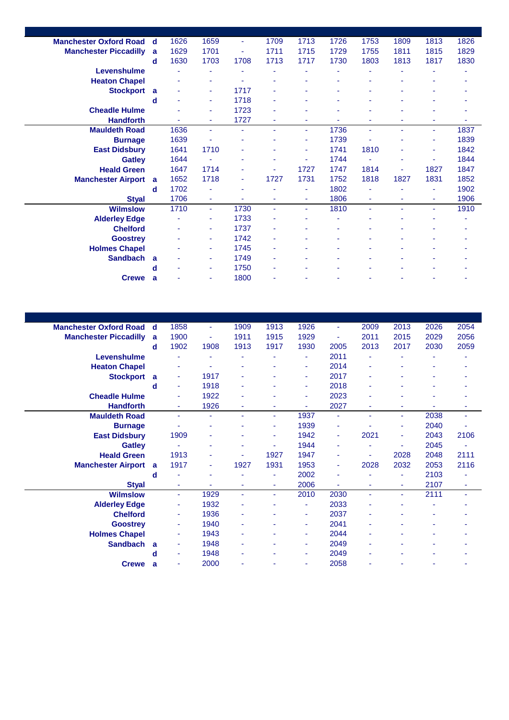| <b>Manchester Oxford Road</b> | d | 1626 | 1659 | ٠    | 1709 | 1713 | 1726 | 1753 | 1809 | 1813 | 1826 |
|-------------------------------|---|------|------|------|------|------|------|------|------|------|------|
| <b>Manchester Piccadilly</b>  | a | 1629 | 1701 | Ξ    | 1711 | 1715 | 1729 | 1755 | 1811 | 1815 | 1829 |
|                               | d | 1630 | 1703 | 1708 | 1713 | 1717 | 1730 | 1803 | 1813 | 1817 | 1830 |
| Levenshulme                   |   |      |      |      |      |      |      |      |      |      |      |
| <b>Heaton Chapel</b>          |   |      | ٠    | ۰    | ۰    | ۰    | ä,   | ٠    |      |      |      |
| <b>Stockport</b>              | a |      | ٠    | 1717 | ٠    | ٠    | ٠    |      |      |      |      |
|                               | d |      | ٠    | 1718 |      |      |      |      |      |      |      |
| <b>Cheadle Hulme</b>          |   |      | ٠    | 1723 | ۰    |      |      |      |      |      |      |
| <b>Handforth</b>              |   |      | ٠    | 1727 | ٠    | ۰    |      |      |      |      |      |
| <b>Mauldeth Road</b>          |   | 1636 | ٠    | ÷.   | ٠    | ٠    | 1736 | ٠    | ÷.   | ÷    | 1837 |
| <b>Burnage</b>                |   | 1639 |      |      |      | ٠    | 1739 |      |      |      | 1839 |
| <b>East Didsbury</b>          |   | 1641 | 1710 | ۰    | ۰    | ٠    | 1741 | 1810 |      | ٠    | 1842 |
| <b>Gatley</b>                 |   | 1644 |      |      | ۰    | ٠    | 1744 | ÷    |      | ÷    | 1844 |
| <b>Heald Green</b>            |   | 1647 | 1714 | ٠    | ٠    | 1727 | 1747 | 1814 | ٠    | 1827 | 1847 |
| <b>Manchester Airport</b>     | a | 1652 | 1718 | ٠    | 1727 | 1731 | 1752 | 1818 | 1827 | 1831 | 1852 |
|                               | d | 1702 | ٠    | ٠    | ۰    | ٠    | 1802 | ٠    | ٠    | ٠    | 1902 |
| <b>Styal</b>                  |   | 1706 | ٠    | ۰    | ٠    | ٠    | 1806 | ٠    | ٠    | ٠    | 1906 |
| <b>Wilmslow</b>               |   | 1710 | ÷    | 1730 | ٠    | ٠    | 1810 | ÷    |      | ÷    | 1910 |
| <b>Alderley Edge</b>          |   |      | ٠    | 1733 | ۰    |      |      |      |      |      |      |
| <b>Chelford</b>               |   |      | ۰    | 1737 | ۰    |      |      |      |      |      |      |
| <b>Goostrey</b>               |   |      | ٠    | 1742 | ۰    |      | ٠    |      |      |      |      |
| <b>Holmes Chapel</b>          |   |      | ٠    | 1745 | ٠    |      |      |      |      |      |      |
| <b>Sandbach</b>               | a |      | ٠    | 1749 | ٠    | ٠    |      |      |      |      |      |
|                               | d |      | ٠    | 1750 | ٠    |      |      |      |      |      |      |
| <b>Crewe</b>                  | a |      | ٠    | 1800 | ۰    |      |      |      |      |      |      |
|                               |   |      |      |      |      |      |      |      |      |      |      |

| <b>Manchester Oxford Road</b> | $\mathbf d$ | 1858 | ٠    | 1909 | 1913   | 1926 | ÷    | 2009 | 2013                     | 2026 | 2054                     |
|-------------------------------|-------------|------|------|------|--------|------|------|------|--------------------------|------|--------------------------|
| <b>Manchester Piccadilly</b>  | a           | 1900 | ä,   | 1911 | 1915   | 1929 | ÷    | 2011 | 2015                     | 2029 | 2056                     |
|                               | d           | 1902 | 1908 | 1913 | 1917   | 1930 | 2005 | 2013 | 2017                     | 2030 | 2059                     |
| Levenshulme                   |             |      |      |      |        |      | 2011 | ۰    |                          |      |                          |
| <b>Heaton Chapel</b>          |             | ۰    | ۰    | ٠    |        | ۰    | 2014 | ۰    | $\overline{\phantom{a}}$ |      |                          |
| <b>Stockport</b>              | a           | ٠    | 1917 |      |        | ٠    | 2017 | ٠    |                          |      |                          |
|                               | d           | ÷    | 1918 |      | ٠      | ٠    | 2018 | ٠    |                          |      |                          |
| <b>Cheadle Hulme</b>          |             | ٠    | 1922 |      |        | ٠    | 2023 | ÷    |                          |      |                          |
| <b>Handforth</b>              |             | ٠    | 1926 |      | ٠      | ٠    | 2027 | ٠    |                          |      |                          |
| <b>Mauldeth Road</b>          |             | ÷    | ÷    | ٠    | $\sim$ | 1937 | ÷    | ÷    | $\blacksquare$           | 2038 | ٠                        |
| <b>Burnage</b>                |             | ٠    | ٠    |      | ٠      | 1939 | ٠    | ۰    | ٠                        | 2040 | ٠                        |
| <b>East Didsbury</b>          |             | 1909 | ä,   |      | ٠      | 1942 | ٠    | 2021 | ٠                        | 2043 | 2106                     |
| <b>Gatley</b>                 |             | ä,   | ۰    |      | ٠      | 1944 | ä,   | ÷    |                          | 2045 |                          |
| <b>Heald Green</b>            |             | 1913 | ۰    |      | 1927   | 1947 | ٠    | ٠    | 2028                     | 2048 | 2111                     |
| <b>Manchester Airport</b>     | a           | 1917 | ۰    | 1927 | 1931   | 1953 | ٠    | 2028 | 2032                     | 2053 | 2116                     |
|                               | d           | ٠    | ۰    | ٠    | ٠      | 2002 | ٠    | ٠    | ÷                        | 2103 |                          |
| <b>Styal</b>                  |             | ٠    | ÷    | ٠    | ٠      | 2006 | ٠    | ٠    | $\blacksquare$           | 2107 | ٠                        |
| <b>Wilmslow</b>               |             | ÷    | 1929 | ÷    | ÷      | 2010 | 2030 | ÷    | $\blacksquare$           | 2111 | $\overline{\phantom{a}}$ |
| <b>Alderley Edge</b>          |             | ٠    | 1932 |      |        | ٠    | 2033 | ٠    |                          |      |                          |
| <b>Chelford</b>               |             | ÷    | 1936 | ٠    | ٠      | ٠    | 2037 | ٠    | ٠                        | ٠    |                          |
| <b>Goostrey</b>               |             | ٠    | 1940 | ٠    | ٠      | ٠    | 2041 | ٠    |                          | ۰    |                          |
| <b>Holmes Chapel</b>          |             | ٠    | 1943 |      |        | ٠    | 2044 | ٠    |                          | ۰    |                          |
| <b>Sandbach</b>               | a           | ٠    | 1948 |      |        | ٠    | 2049 | ٠    |                          |      |                          |
|                               | d           | ٠    | 1948 |      |        | ٠    | 2049 | ۰    |                          |      |                          |
| <b>Crewe</b>                  | a           | ٠    | 2000 |      |        |      | 2058 |      |                          |      |                          |
|                               |             |      |      |      |        |      |      |      |                          |      |                          |